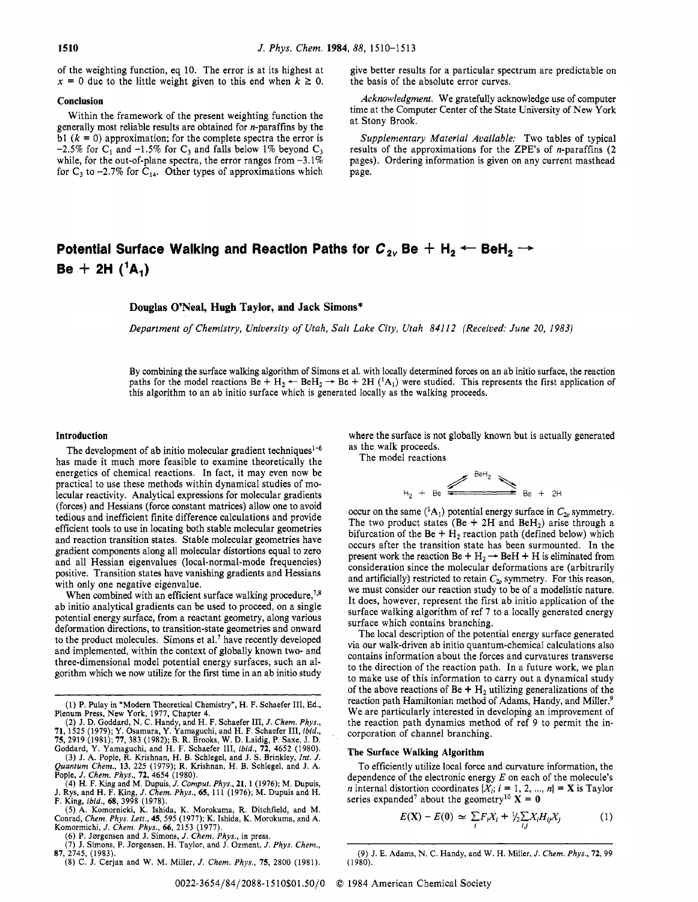of the weighting function, eq 10. The error is at its highest at of the weighting function, eq 10. The error is at its highest at  $x = 0$  due to the little weight given to this end when  $k \ge 0$ .

#### **Conclusion**

Within the framework of the present weighting function the generally most reliable results are obtained for n-paraffins by the bl  $(k = 0)$  approximation; for the complete spectra the error is -2.5% for  $C_1$  and -1.5% for  $C_3$  and falls below 1% beyond  $C_3$ while, for the out-of-plane spectra, the error ranges from  $-3.1\%$ for  $C_3$  to  $-2.7\%$  for  $C_{14}$ . Other types of approximations which

give better results for a particular spectrum are predictable on the basis of the absolute error curves.

*Acknowledgment.* We gratefully acknowledge use of computer time at the Computer Center of the State University of New York at Stony Brook,

*Supplementary Material Available:* Two tables of typical results of the approximations for the ZPE's of  $n$ -paraffins (2) pages). Ordering information is given on any current masthead page.

# **Potential Surface Walking and Reaction Paths for**  $C_{2v}$  **Be**  $+$  **H<sub>2</sub>**  $\leftarrow$  **BeH<sub>2</sub>**  $\rightarrow$  $Be + 2H(^{1}A_{1})$

## **Douglas O'Neal, Hugh Taylor, and Jack Simons\***

*Department of Chemistry, University of Utah, Salt Lake City, Utah 84112 (Received: June 20, 1983)* 

By combining the surface walking algorithm of Simons et al. with locally determined forces on an ab initio surface, the reaction paths for the model reactions Be +  $H_2 \leftarrow$  BeH<sub>2</sub>  $\rightarrow$  Be + 2H (<sup>1</sup>A<sub>1</sub>) were studied. This represents the first application of this algorithm to an ab initio surface which is generated locally as the walking proceeds.

#### **Introduction**

The development of ab initio molecular gradient techniques<sup>1-6</sup> has made it much more feasible to examine theoretically the energetics of chemical reactions. In fact, it may even now be practical to use these methods within dynamical studies of molecular reactivity. Analytical expressions for molecular gradients (forces) and Hessians (force constant matrices) allow one to avoid tedious and inefficient finite difference calculations and provide efficient tools to use in locating both stable molecular geometries and reaction transition states. Stable molecular geometries have gradient components along all molecular distortions equal to zero and all Hessian eigenvalues (local-normal-mode frequencies) positive. Transition states have vanishing gradients and Hessians with only one negative eigenvalue.

When combined with an efficient surface walking procedure, $7,8$ ab initio analytical gradients can be used to proceed, on a single potential energy surface, from a reactant geometry, along various deformation directions, to transition-state geometries and onward to the product molecules. Simons et al.' have recently developed and implemented, within the context of globally known two- and three-dimensional model potential energy surfaces, such an algorithm which we now utilize for the first time in an ab initio study

Komormichi, *J. Chem. Phys., 66,* 2153 (1977).

(6) P. Jørgensen and J. Simons, *J. Chem. Phys.*, in press.

(7) J. Simons, P. Jørgensen, H. Taylor, and J. Ozment, J. Phys. Chem., 87, 2745, (1983).

(8) C. J. Cerjan and W. M. Miller, *J.* Chem. *Phys.,* 75, 2800 (1981).

where the surface is not globally known but is actually generated as the walk proceeds.

The model reactions



occur on the same  $({}^{1}A_{1})$  potential energy surface in  $C_{2v}$  symmetry. The two product states (Be + 2H and BeH<sub>2</sub>) arise through a bifurcation of the Be +  $H_2$  reaction path (defined below) which occurs after the transition state has been surmounted. In the present work the reaction Be +  $H_2 \rightarrow$  BeH + H is eliminated from consideration since the molecular deformations are (arbitrarily and artificially) restricted to retain  $C_{2v}$  symmetry. For this reason, we must consider our reaction study to be of a modelistic nature. It does, however, represent the first ab initio application of the surface walking algorithm of ref **7** to a locally generated energy surface which contains branching.

The local description of the potential energy surface generated via our walk-driven ab initio quantum-chemical calculations also contains information about the forces and curvatures transverse to the direction of the reaction path. In a future work, we plan to make use of this information to carry out a dynamical study of the above reactions of Be +  $H_2$  utilizing generalizations of the reaction path Hamiltonian method of Adams, Handy, and Miller.<sup>9</sup> We are particularly interested in developing an improvement of the reaction path dynamics method of ref 9 to permit the incorporation of channel branching.

#### **The Surface Walking Algorithm**

To efficiently utilize local force and curvature information, the dependence of the electronic energy *E* on each of the molecule's *n* internal distortion coordinates  $\{X_i; i = 1, 2, ..., n\} = \mathbf{X}$  is Taylor series expanded<sup>7</sup> about the geometry<sup>10</sup>  $\mathbf{X} = \mathbf{0}$ 

$$
E(\mathbf{X}) - E(\mathbf{0}) \simeq \sum_{i} F_{i} X_{i} + \frac{1}{2} \sum_{i,j} X_{i} H_{ij} X_{j} \tag{1}
$$

<sup>(1)</sup> P. Pulay in "Modern Theoretical Chemistry", H. F. Schaefer **111,** Ed.,

Plenum Press, New York, 1977, Chapter 4.<br>
(2) J. D. Goddard, N. C. Handy, and H. F. Schaefer III, J. Chem. Phys.,<br>
71, 1525 (1979); Y. Osamura, Y. Yamaguchi, and H. F. Schaefer III, ibid.,<br>
75, 2919 (1981); 77, 383 (1982);

<sup>(9)</sup> J. E. Adams, N. C. Handy, and W. H. Miller, J. *Chem. Phys.,* 72.99 (1980).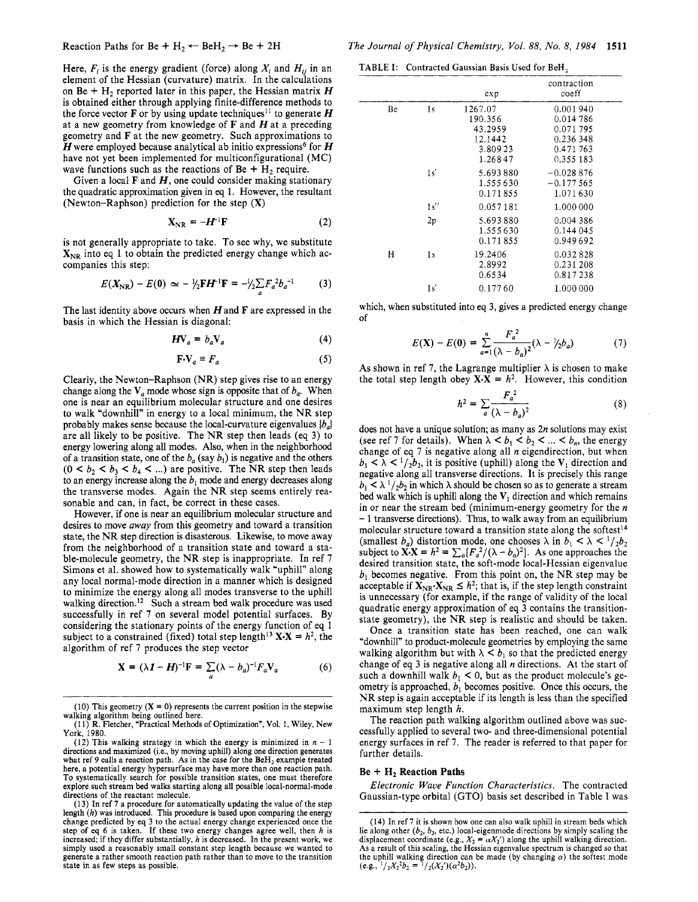Here,  $F_i$  is the energy gradient (force) along  $X_i$  and  $H_{ii}$  in an element of the Hessian (curvature) matrix. In the calculations on Be +  $H_2$  reported later in this paper, the Hessian matrix *H* is obtained either through applying finite-difference methods to the force vector **F** or by using update techniques<sup>11</sup> to generate **H** at a new geometry from knowledge of *F* and Hat a preceding geometry and *F* at the new geometry. Such approximations to *H* were employed because analytical ab initio expressions<sup>6</sup> for *H* have not yet been implemented for multiconfigurational (MC) wave functions such as the reactions of Be +  $H_2$  require.

Given a local *F* and *H,* one could consider making stationary the quadratic approximation given in *eq* 1. However, the resultant (Newton-Raphson) prediction for the step (X)

$$
\mathbf{X}_{\mathrm{NR}} = -\mathbf{H}^{-1}\mathbf{F} \tag{2}
$$

is not generally appropriate to take. To see why, we substitute  $X_{NR}$  into eq 1 to obtain the predicted energy change which accompanies this step:

$$
E(X_{\rm NR}) - E(0) \simeq -\frac{1}{2}FH^{-1}F = -\frac{1}{2} \sum F_a^2 b_a^{-1} \tag{3}
$$

The last identity above occurs when Hand *F* are expressed in the basis in which the Hessian is diagonal:

$$
H\mathbf{V}_a = b_a \mathbf{V}_a \tag{4}
$$

 $\mathbf{F} \cdot \mathbf{V}_a \equiv F_a$  (5)

Clearly, the Newton-Raphson (NR) step gives rise to an energy change along the  $V_a$  mode whose sign is opposite that of  $b_a$ . When one is near an equilibrium molecular structure and one desires to walk "downhill" in energy to a local minimum, the NR step probably makes sense because the local-curvature eigenvalues *(b,]*  are all likely to be positive. The NR step then leads (eq 3) to energy lowering along all modes. Also, when in the neighborhood of a transition state, one of the  $b_a$  (say  $b_1$ ) is negative and the others  $(0 \lt b_2 \lt b_3 \lt b_4 \lt ...)$  are positive. The NR step then leads to an energy increase along the *b,* mode and energy decreases along the transverse modes. Again the NR step seems entirely reasonable and can, in fact, be correct in these cases.

However, if one is near an equilibrium molecular structure and desires to move *away* from this geometry and toward a transition state, the NR step direction is disasterous. Likewise, to move away from the neighborhood of a transition state and toward a stable-molecule geometry, the NR step is inappropriate. In ref *7*  Simons et al. showed how to systematically walk "uphill" along any local normal-mode direction in a manner which is designed to minimize the energy along all modes transverse to the uphill walking direction.<sup>12</sup> Such a stream bed walk procedure was used successfully in ref *7* on several model potential surfaces. By considering the stationary points of the energy function of eq 1 subject to a constrained (fixed) total step length<sup>13</sup>  $X \cdot X = h^2$ , the algorithm of ref **7** produces the step vector

$$
\mathbf{X} = (\lambda \mathbf{I} - \mathbf{H})^{-1} \mathbf{F} = \sum_{a} (\lambda - b_{a})^{-1} F_{a} \mathbf{V}_{a}
$$
 (6)

TABLE I: Contracted Gaussian Basis Used for BeH,

|    |                | exp                                                            | contraction<br>coeff                                                    |  |
|----|----------------|----------------------------------------------------------------|-------------------------------------------------------------------------|--|
| Be | 1 <sub>s</sub> | 1267.07<br>190.356<br>43.2959<br>12.1442<br>3.80923<br>1.26847 | 0.001940<br>0.014 786<br>0.071795<br>0.236 348<br>0.471763<br>0.355 183 |  |
|    | 1s'            | 5.693880<br>1.555630<br>0.171855                               | $-0.028876$<br>$-0.177565$<br>1.071630                                  |  |
|    | 1s''<br>2p     | 0.057181<br>5.693880<br>1.555630<br>0.171855                   | 1.000 000<br>0.004 386<br>0.144 045<br>0.949692                         |  |
| Н  | 1s             | 19.2406<br>2.8992<br>0.6534                                    | 0.032828<br>0.231 208<br>0.817238                                       |  |
|    | 1s'            | 0.17760                                                        | 1.000 000                                                               |  |

which, when substituted into eq **3,** gives a predicted energy change of

$$
E(\mathbf{X}) - E(\mathbf{0}) = \sum_{a=1}^{n} \frac{F_a^2}{(\lambda - b_a)^2} (\lambda - \frac{1}{2} b_a)
$$
 (7)

As shown in ref 7, the Lagrange multiplier  $\lambda$  is chosen to make the total step length obey  $X \cdot X = h^2$ . However, this condition

$$
h^2 = \sum_{a} \frac{F_a^2}{(\lambda - b_a)^2} \tag{8}
$$

does not have a unique solution; as many as *2n* solutions may exist (see ref 7 for details). When  $\lambda < b_1 < b_2 < ... < b_n$ , the energy change of eq *7* is negative along all *n* eigendirection, but when  $b_1 < \lambda < 1/\sqrt{2}b_2$ , it is positive (uphill) along the  $V_1$  direction and negative along all transverse directions. It is precisely this range  $b_1 \leq \lambda$  <sup>1</sup>/<sub>2</sub>*b*<sub>2</sub> in which  $\lambda$  should be chosen so as to generate a stream bed walk which is uphill along the *V,* direction and which remains in or near the stream bed (minimum-energy geometry for the *n*  - 1 transverse directions). Thus, to walk away from an equilibrium molecular structure toward a transition state along the softest<sup>14</sup> (smallest  $b_a$ ) distortion mode, one chooses  $\lambda$  in  $b_1 < \lambda < 1/2b_2$ subject to  $\mathbf{X} \cdot \mathbf{X} = h^2 = \sum_a [F_a^2/(\lambda - b_a)^2]$ . As one approaches the desired transition state, the soft-mode local-Hessian eigenvalue  $b_1$  becomes negative. From this point on, the NR step may be acceptable if  $X_{NR} \leq h^2$ ; that is, if the step length constraint is unpracted in  $X_{NR} \leq h^$  $b_1$  becomes negative. From this point on, the NR step may be is unnecessary (for example, if the range of validity of the local quadratic energy approximation of eq 3 contains the transitionstate geometry), the NR step is realistic and should be taken.

Once a transition state has been reached, one can walk "downhill" to product-molecule geometries by employing the same walking algorithm but with  $\lambda < b_1$  so that the predicted energy change of eq 3 is negative along all *n* directions. At the start of such a downhill walk  $b_1 < 0$ , but as the product molecule's geometry is approached, *b,* becomes positive. Once this occurs, the NR step is again acceptable if its length is less than the specified maximum step length *h.* 

The reaction path walking algorithm outlined above was successfully applied to several two- and three-dimensional potential energy surfaces in ref **7.** The reader is referred to that paper for further details.

#### $Be + H_2$  Reaction Paths

*Electronic Wave Function Characteristics.* The contracted Gaussian-type orbital (GTO) basis set described in Table I was

<sup>(10)</sup> This geometry  $(X = 0)$  represents the current position in the stepwise walking algorithm being outlined here.

<sup>(1 1)</sup> R. Fletcher, "Practical Methods of Optimization", **Vol.** *1,* Wiley, New York, 1980.

<sup>(12)</sup> This walking strategy in which the energy is minimized in  $n - 1$ directions and maximized (i.e., by moving uphill) along one direction generates what ref 9 calls a reaction path. As in the case for the BeH<sub>2</sub> example treated here, a potential energy hypersurface may have more than one reaction path. To systematically search for possible transition states, one must therefore explore such stream bed walks starting along all possible local-normal-mode directions of the reactant molecule.

<sup>(1</sup> **3) In** ref **7** a procedure for automatically updating the value of the step length  $(h)$  was introduced. This procedure is based upon comparing the energy change predicted by eq 3 to the actual energy change experienced once the step of eq 6 is taken. If these two energy changes agree well, then increased; if they differ substantially, *h* is decreased. **In** the present work, we simply used a reasonably small constant step length because we wanted to generate a rather smooth reaction path rather than to move to the transition state in as few steps as possible.

**<sup>(14)</sup>** In ref **7** it is shown how one can also walk uphill in stream beds which lie along other  $(b_2, b_3, \text{ etc.})$  local-eigenmode directions by simply scaling the displacement coordinate (e.g.,  $X_2 = \alpha X_2'$ ) along the uphill walking direction. **As** a result of this scaling, the Hessian eigenvalue spectrum **is** changed so that the uphill walking direction can be made (by changing  $\alpha$ ) the softest mode (e.g.,  $\frac{1}{2}X_2^2b_2 = \frac{1}{2}(X_2')( \alpha^2 b_2)$ ).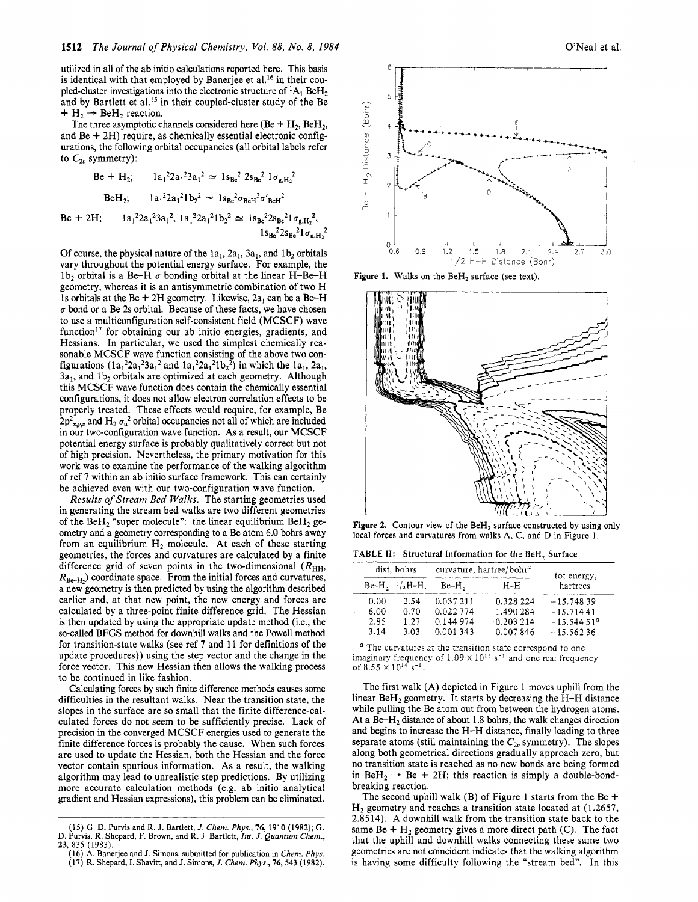utilized in all of the ab initio calculations reported here. This basis is identical with that employed by Banerjee et al.<sup>16</sup> in their coupled-cluster investigations into the electronic structure of  ${}^{1}A_{1}$  BeH<sub>2</sub> pled-cluster investigations into the electronic structure of  ${}^{1}A_1$  BeH<sub>2</sub><br>and by Bartlett et al.<sup>15</sup> in their coupled-cluster study of the Be<br>+ H<sub>2</sub>  $\rightarrow$  BeH<sub>2</sub> reaction.

+  $H_2 \rightarrow$  BeH<sub>2</sub> reaction.<br>The three asymptotic channels considered here (Be + H<sub>2</sub>, BeH<sub>2</sub>, and  $Be + 2H$ ) require, as chemically essential electronic configurations, the following orbital occupancies (all orbital labels refer to  $C_{2n}$  symmetry):

$$
Be + H_2; \t l a_1^2 2 a_1^2 3 a_1^2 \simeq 1 s_{Be}^2 2 s_{Be}^2 1 \sigma_{g,H_2}^2
$$
  
\n
$$
BeH_2; \t l a_1^2 2 a_1^2 1 b_2^2 \simeq 1 s_{Be}^2 \sigma_{BeH}^2 \sigma'_{BeH}^2
$$
  
\n
$$
Be + 2H; \t l a_1^2 2 a_1^2 3 a_1^2, l a_1^2 2 a_1^2 1 b_2^2 \simeq 1 s_{Be}^2 2 s_{Be}^2 1 \sigma_{g,H_2}^2,
$$
  
\n
$$
1 s_{Be}^2 2 s_{Be}^2 1 \sigma_{u,H_2}^2.
$$

Of course, the physical nature of the  $1a_1$ ,  $2a_1$ ,  $3a_1$ , and  $1b_2$  orbitals vary throughout the potential energy surface. For example, the 1b<sub>2</sub> orbital is a Be-H  $\sigma$  bonding orbital at the linear H-Be-H geometry, whereas it is an antisymmetric combination of two H 1s orbitals at the Be  $+$  2H geometry. Likewise,  $2a_1$  can be a Be-H  $\sigma$  bond or a Be 2s orbital. Because of these facts, we have chosen to use a multiconfiguration self-consistent field (MCSCF) wave function<sup>17</sup> for obtaining our ab initio energies, gradients, and Hessians. In particular, we used the simplest chemically reasonable MCSCF wave function consisting of the above two configurations  $(1a_1^2 2a_1^2 3a_1^2$  and  $1a_1^2 2a_1^2 1b_2^2)$  in which the  $1a_1$ ,  $2a_1$ ,  $3a_1$ , and  $1b_2$  orbitals are optimized at each geometry. Although this MCSCF wave function does contain the chemically essential configurations, it does not allow electron correlation effects to be properly treated. These effects would require, for example, Be  $2p_{x,y,z}^2$  and H<sub>2</sub>  $\sigma_u^2$  orbital occupancies not all of which are included in our two-configuration wave function. As a result, our MCSCF potential energy surface is probably qualitatively correct but not of high precision. Nevertheless, the primary motivation for this work was to examine the performance of the walking algorithm of ref 7 within an ab initio surface framework. This can certainly be achieved even with our two-configuration wave function.

Results of Stream Bed Walks. The starting geometries used in generating the stream bed walks are two different geometries of the  $BeH_2$  "super molecule": the linear equilibrium  $BeH_2$  geometry and a geometry corresponding to a Be atom *6.0* bohrs away from an equilibrium  $H_2$  molecule. At each of these starting geometries, the forces and curvatures are calculated by a finite difference grid of seven points in the two-dimensional  $(R_{HH}$ ,  $R_{\text{Be-H}_2}$  coordinate space. From the initial forces and curvatures, a new geometry is then predicted by using the algorithm described earlier and, at that new point, the new energy and forces are calculated by a three-point finite difference grid. The Hessian is then updated by using the appropriate update method (i,e., the so-called BFGS method for downhill walks and the Powell method for transition-state walks (see ref 7 and 11 for definitions of the update procedures)) using the step vector and the change in the force vector. This new Hessian then allows the walking process to be continued in like fashion.

Calculating forces by such finite difference methods causes some difficulties in the resultant walks. Near the transition state, the slopes in the surface are so small that the finite difference-calculated forces do not seem to be sufficiently precise. Lack of precision in the converged MCSCF energies used to generate the finite difference forces is probably the cause. When such forces are used to update the Hessian, both the Hessian and the force vector contain spurious information. As a result, the walking algorithm may lead to unrealistic step predictions. By utilizing more accurate calculation methods (e.g. ab initio analytical gradient and Hessian expressions), this problem can be eliminated.



**Figure 1.** Walks on the BeH<sub>2</sub> surface (see text).



Figure 2. Contour view of the BeH<sub>2</sub> surface constructed by using only local forces and curvatures from walks **A,** C, and D in Figure 1.

TABLE **11:** Structural Information for the BeH, Surface

| dist, bohrs |                     | curvature, hartree/bohr <sup>2</sup> |             | tot energy,   |
|-------------|---------------------|--------------------------------------|-------------|---------------|
|             | $Be-H$ , $1/2H-H$ , | $Be-H2$                              | $H-H$       | hartrees      |
| 0.00        | 2.54                | 0.037211                             | 0.328 224   | $-15.74839$   |
| 6.00        | 0.70                | 0.022774                             | 1.490 284   | $-15.71441$   |
| 2.85        | 1.27                | 0.144 974                            | $-0.203214$ | $-15.544.51a$ |
| 3.14        | 3.03                | 0.001343                             | 0.007846    | $-15.56236$   |

<sup>a</sup> The curvatures at the transition state correspond to one imaginary frequency of  $1.09 \times 10^{15}$  s<sup>-1</sup> and one real frequency of  $8.55 \times 10^{14}$  s<sup>-1</sup>.

The first walk (A) depicted in Figure 1 moves uphill from the linear BeH, geometry. It starts by decreasing the H-H distance while pulling the Be atom out from between the hydrogen atoms. At a Be-H<sub>2</sub> distance of about 1.8 bohrs, the walk changes direction and begins to increase the H-H distance, finally leading to three separate atoms (still maintaining the  $C_{2v}$  symmetry). The slopes along both geometrical directions gradually approach zero, but no transition state is reached as no new bonds are being formed along both geometrical directions gradually approach zero, but<br>no transition state is reached as no new bonds are being formed<br>in BeH<sub>2</sub>  $\rightarrow$  Be + 2H; this reaction is simply a double-bond-<br>hardled breaking reaction.

The second uphill walk (B) of Figure 1 starts from the Be  $+$  $H<sub>2</sub>$  geometry and reaches a transition state located at (1.2657, 2.8514). A downhill walk from the transition state back to the same Be  $+$  H<sub>2</sub> geometry gives a more direct path (C). The fact that the uphill and downhill walks connecting these same two geometries are not coincident indicates that the walking algorithm is having some difficulty following the "stream bed". In this

**<sup>(15)</sup> G.** D. Purvis and R. **J.** Bartlett, *J. Chem. Phys.,* **76, 1910 (1982); G.**  D. Purvis, R. Shepard, F. Brown, and R. **J.** Bartlett, *rnt. J. Quantum Chem.,*  **23, 835 (1983).** 

<sup>(16)</sup> **A.** Banerjee and **J.** Simons, submitted for publication in *Chem. Phys.*  **(17)** R. Shepard, I. Shavitt, and J. **Simons,** *J. Chem. Phys.,* **76,543 (1982).**